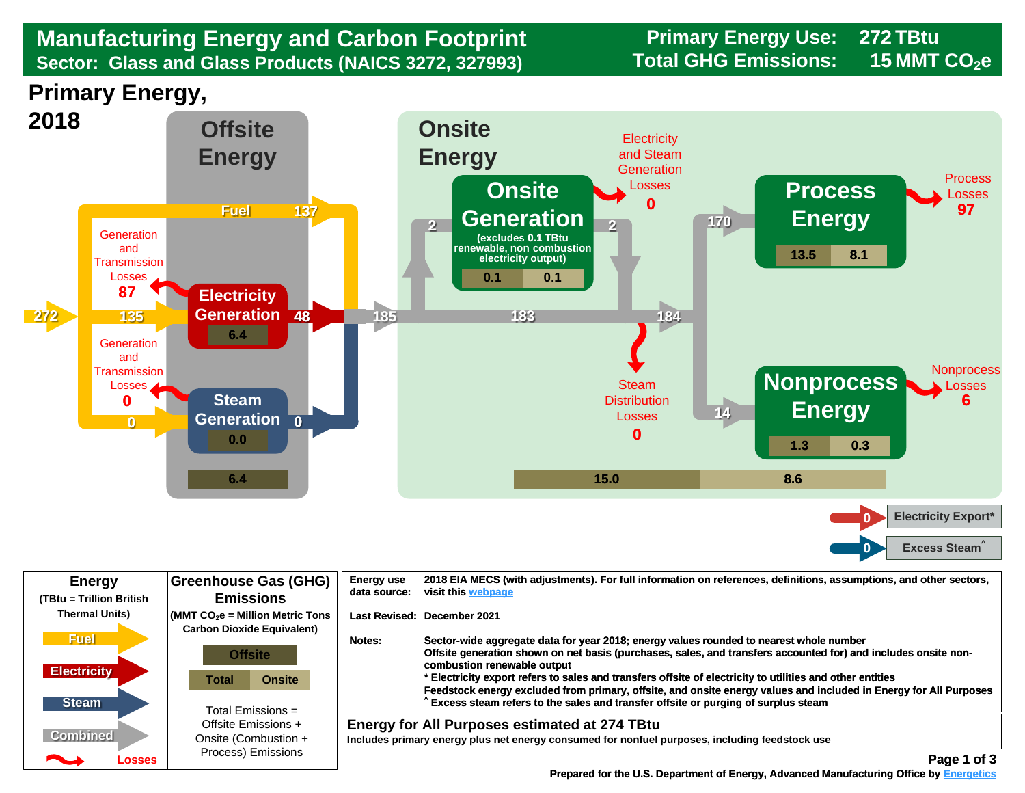## Sector: Glass and Glass Products (NAICS 3272, 327993) Total GHG Emissions: 15 MMT CO<sub>2</sub>e **Manufacturing Energy and Carbon Footprint Frimary Energy Use:**<br> **Sector: Glass and Glass Products (NAICS 3272, 327993)** Total GHG Emissions:

**272 15**

**Primary Energy,** 



| <b>Energy</b><br>(TBtu = Trillion British                                  | <b>Greenhouse Gas (GHG)</b><br><b>Emissions</b>                                                                                                                                                                          | <b>Energy use</b><br>data source: | 2018 EIA MECS (with adjustments). For full information on references, definitions, assumptions, and other sectors,<br>visit this webpage                                                                                                                                                                                                                                                                                                                                                                                                                                                       |
|----------------------------------------------------------------------------|--------------------------------------------------------------------------------------------------------------------------------------------------------------------------------------------------------------------------|-----------------------------------|------------------------------------------------------------------------------------------------------------------------------------------------------------------------------------------------------------------------------------------------------------------------------------------------------------------------------------------------------------------------------------------------------------------------------------------------------------------------------------------------------------------------------------------------------------------------------------------------|
| <b>Thermal Units)</b><br><b>Fuel</b><br><b>Electricity</b><br><b>Steam</b> | $\sim$ (MMT CO $_2$ e = Million Metric Tons<br><b>Carbon Dioxide Equivalent)</b><br><b>Offsite</b><br><b>Onsite</b><br>Total<br>Total Emissions $=$<br>Offsite Emissions +<br>Onsite (Combustion +<br>Process) Emissions | Notes:                            | Last Revised: December 2021<br>Sector-wide aggregate data for year 2018; energy values rounded to nearest whole number<br>Offsite generation shown on net basis (purchases, sales, and transfers accounted for) and includes onsite non-<br>combustion renewable output<br>* Electricity export refers to sales and transfers offsite of electricity to utilities and other entities<br>Feedstock energy excluded from primary, offsite, and onsite energy values and included in Energy for All Purposes<br>Excess steam refers to the sales and transfer offsite or purging of surplus steam |
| <b>Combined</b><br>Losses                                                  |                                                                                                                                                                                                                          |                                   | <b>Energy for All Purposes estimated at 274 TBtu</b><br>Includes primary energy plus net energy consumed for nonfuel purposes, including feedstock use<br>Page 1 of 3                                                                                                                                                                                                                                                                                                                                                                                                                          |

 **[Prepared for the U.S. Department of Energy, Advanced Manufacturing Office by Energetics](https://www.energetics.com/) Manufacturing Energetics**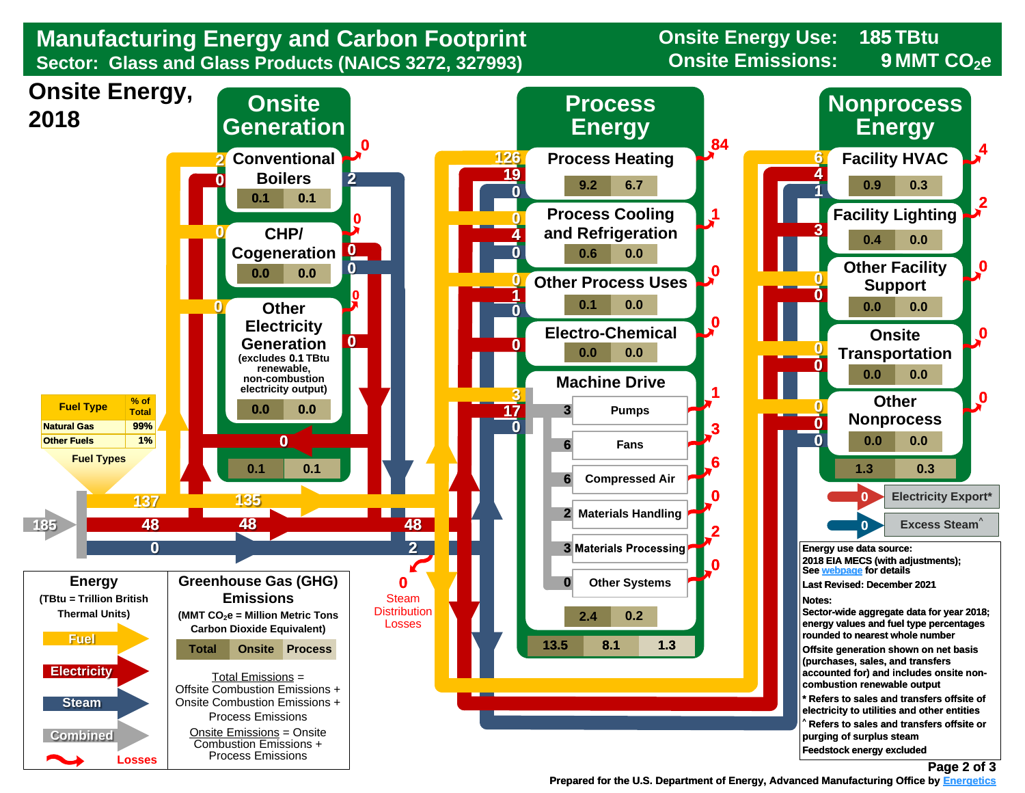

 **Prepared for the U.S. Department of Energy, Advanced Manufacturing Office by Energetics Energetics**